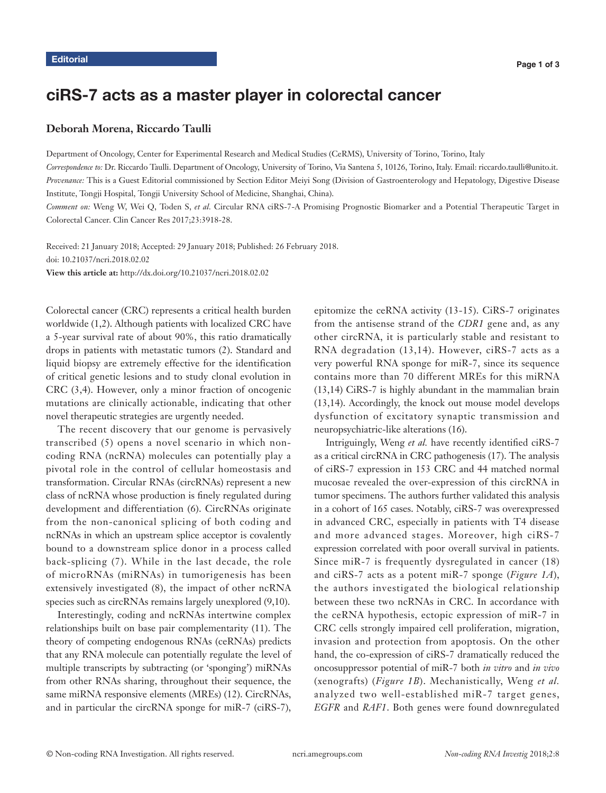# ciRS-7 acts as a master player in colorectal cancer

### **Deborah Morena, Riccardo Taulli**

Department of Oncology, Center for Experimental Research and Medical Studies (CeRMS), University of Torino, Torino, Italy

*Correspondence to:* Dr. Riccardo Taulli. Department of Oncology, University of Torino, Via Santena 5, 10126, Torino, Italy. Email: riccardo.taulli@unito.it. *Provenance:* This is a Guest Editorial commissioned by Section Editor Meiyi Song (Division of Gastroenterology and Hepatology, Digestive Disease Institute, Tongji Hospital, Tongji University School of Medicine, Shanghai, China).

*Comment on:* Weng W, Wei Q, Toden S, *et al.* Circular RNA ciRS-7-A Promising Prognostic Biomarker and a Potential Therapeutic Target in Colorectal Cancer. Clin Cancer Res 2017;23:3918-28.

Received: 21 January 2018; Accepted: 29 January 2018; Published: 26 February 2018. doi: 10.21037/ncri.2018.02.02 **View this article at:** http://dx.doi.org/10.21037/ncri.2018.02.02

Colorectal cancer (CRC) represents a critical health burden worldwide (1,2). Although patients with localized CRC have a 5-year survival rate of about 90%, this ratio dramatically drops in patients with metastatic tumors (2). Standard and liquid biopsy are extremely effective for the identification of critical genetic lesions and to study clonal evolution in CRC (3,4). However, only a minor fraction of oncogenic mutations are clinically actionable, indicating that other novel therapeutic strategies are urgently needed.

The recent discovery that our genome is pervasively transcribed (5) opens a novel scenario in which noncoding RNA (ncRNA) molecules can potentially play a pivotal role in the control of cellular homeostasis and transformation. Circular RNAs (circRNAs) represent a new class of ncRNA whose production is finely regulated during development and differentiation (6). CircRNAs originate from the non-canonical splicing of both coding and ncRNAs in which an upstream splice acceptor is covalently bound to a downstream splice donor in a process called back-splicing (7). While in the last decade, the role of microRNAs (miRNAs) in tumorigenesis has been extensively investigated (8), the impact of other ncRNA species such as circRNAs remains largely unexplored (9,10).

Interestingly, coding and ncRNAs intertwine complex relationships built on base pair complementarity (11). The theory of competing endogenous RNAs (ceRNAs) predicts that any RNA molecule can potentially regulate the level of multiple transcripts by subtracting (or 'sponging') miRNAs from other RNAs sharing, throughout their sequence, the same miRNA responsive elements (MREs) (12). CircRNAs, and in particular the circRNA sponge for miR-7 (ciRS-7),

epitomize the ceRNA activity (13-15). CiRS-7 originates from the antisense strand of the *CDR1* gene and, as any other circRNA, it is particularly stable and resistant to RNA degradation (13,14). However, ciRS-7 acts as a very powerful RNA sponge for miR-7, since its sequence contains more than 70 different MREs for this miRNA (13,14) CiRS-7 is highly abundant in the mammalian brain (13,14). Accordingly, the knock out mouse model develops dysfunction of excitatory synaptic transmission and neuropsychiatric-like alterations (16).

Intriguingly, Weng *et al.* have recently identified ciRS-7 as a critical circRNA in CRC pathogenesis (17). The analysis of ciRS-7 expression in 153 CRC and 44 matched normal mucosae revealed the over-expression of this circRNA in tumor specimens. The authors further validated this analysis in a cohort of 165 cases. Notably, ciRS-7 was overexpressed in advanced CRC, especially in patients with T4 disease and more advanced stages. Moreover, high ciRS-7 expression correlated with poor overall survival in patients. Since miR-7 is frequently dysregulated in cancer (18) and ciRS-7 acts as a potent miR-7 sponge (*Figure 1A*), the authors investigated the biological relationship between these two ncRNAs in CRC. In accordance with the ceRNA hypothesis, ectopic expression of miR-7 in CRC cells strongly impaired cell proliferation, migration, invasion and protection from apoptosis. On the other hand, the co-expression of ciRS-7 dramatically reduced the oncosuppressor potential of miR-7 both *in vitro* and *in vivo*  (xenografts) (*Figure 1B*). Mechanistically, Weng *et al.* analyzed two well-established miR-7 target genes, *EGFR* and *RAF1*. Both genes were found downregulated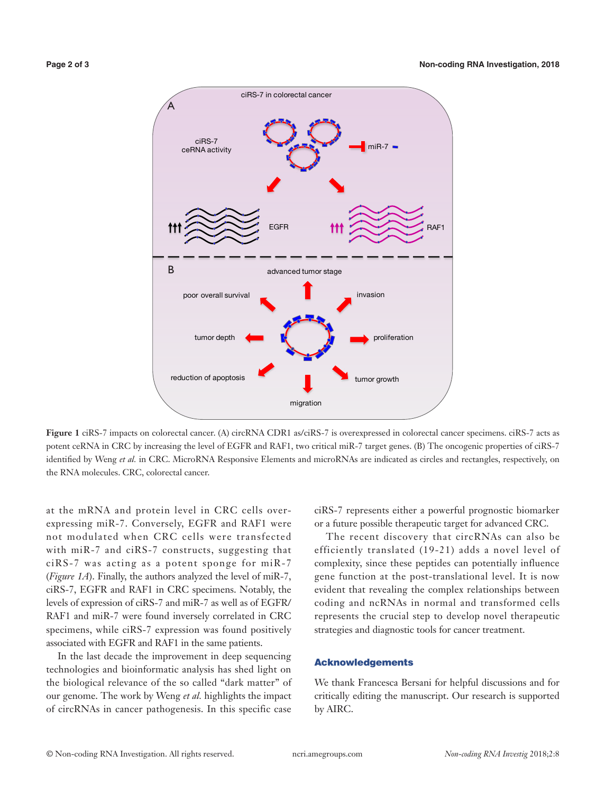

**Figure 1** ciRS-7 impacts on colorectal cancer. (A) circRNA CDR1 as/ciRS-7 is overexpressed in colorectal cancer specimens. ciRS-7 acts as potent ceRNA in CRC by increasing the level of EGFR and RAF1, two critical miR-7 target genes. (B) The oncogenic properties of ciRS-7 identified by Weng *et al.* in CRC. MicroRNA Responsive Elements and microRNAs are indicated as circles and rectangles, respectively, on the RNA molecules. CRC, colorectal cancer.

at the mRNA and protein level in CRC cells overexpressing miR-7. Conversely, EGFR and RAF1 were not modulated when CRC cells were transfected with miR-7 and ciRS-7 constructs, suggesting that ciRS-7 was acting as a potent sponge for miR-7 (*Figure 1A*). Finally, the authors analyzed the level of miR-7, ciRS-7, EGFR and RAF1 in CRC specimens. Notably, the levels of expression of ciRS-7 and miR-7 as well as of EGFR/ RAF1 and miR-7 were found inversely correlated in CRC specimens, while ciRS-7 expression was found positively associated with EGFR and RAF1 in the same patients.

In the last decade the improvement in deep sequencing technologies and bioinformatic analysis has shed light on the biological relevance of the so called "dark matter" of our genome. The work by Weng *et al.* highlights the impact of circRNAs in cancer pathogenesis. In this specific case

ciRS-7 represents either a powerful prognostic biomarker or a future possible therapeutic target for advanced CRC.

The recent discovery that circRNAs can also be efficiently translated (19-21) adds a novel level of complexity, since these peptides can potentially influence gene function at the post-translational level. It is now evident that revealing the complex relationships between coding and ncRNAs in normal and transformed cells represents the crucial step to develop novel therapeutic strategies and diagnostic tools for cancer treatment.

#### Acknowledgements

We thank Francesca Bersani for helpful discussions and for critically editing the manuscript. Our research is supported by AIRC.